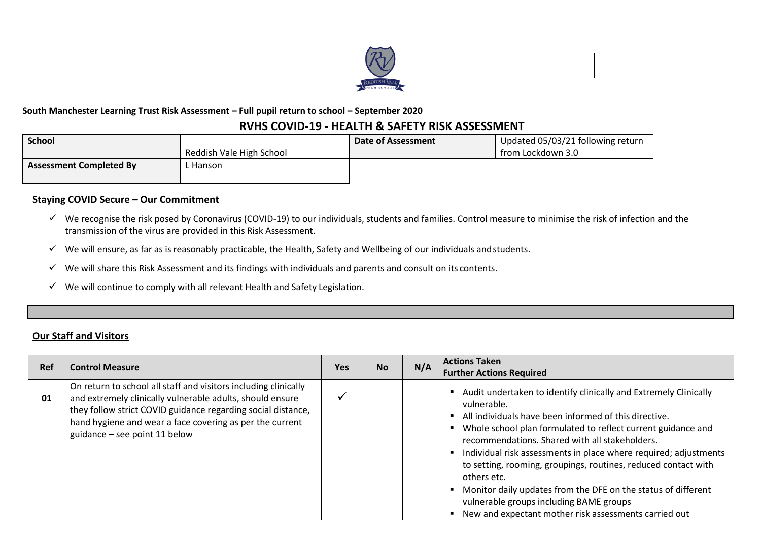

#### **South Manchester Learning Trust Risk Assessment – Full pupil return to school – September 2020**

### **RVHS COVID-19 - HEALTH & SAFETY RISK ASSESSMENT**

| <b>School</b>                  |                          | <b>Date of Assessment</b> | Updated 05/03/21 following return |
|--------------------------------|--------------------------|---------------------------|-----------------------------------|
|                                | Reddish Vale High School |                           | from Lockdown 3.0                 |
| <b>Assessment Completed By</b> | . Hanson                 |                           |                                   |

#### **Staying COVID Secure – Our Commitment**

- $\checkmark$  We recognise the risk posed by Coronavirus (COVID-19) to our individuals, students and families. Control measure to minimise the risk of infection and the transmission of the virus are provided in this Risk Assessment.
- $\checkmark$  We will ensure, as far as is reasonably practicable, the Health, Safety and Wellbeing of our individuals and students.
- $\checkmark$  We will share this Risk Assessment and its findings with individuals and parents and consult on its contents.
- $\checkmark$  We will continue to comply with all relevant Health and Safety Legislation.

#### **Our Staff and Visitors**

| <b>Ref</b> | <b>Control Measure</b>                                                                                                                                                                                                                                                                    | <b>Yes</b> | <b>No</b> | N/A | <b>Actions Taken</b><br><b>Further Actions Required</b>                                                                                                                                                                                                                                                                                                                                                                                                                                                                                                                              |
|------------|-------------------------------------------------------------------------------------------------------------------------------------------------------------------------------------------------------------------------------------------------------------------------------------------|------------|-----------|-----|--------------------------------------------------------------------------------------------------------------------------------------------------------------------------------------------------------------------------------------------------------------------------------------------------------------------------------------------------------------------------------------------------------------------------------------------------------------------------------------------------------------------------------------------------------------------------------------|
| 01         | On return to school all staff and visitors including clinically<br>and extremely clinically vulnerable adults, should ensure<br>they follow strict COVID guidance regarding social distance,<br>hand hygiene and wear a face covering as per the current<br>guidance - see point 11 below |            |           |     | Audit undertaken to identify clinically and Extremely Clinically<br>vulnerable.<br>All individuals have been informed of this directive.<br>Whole school plan formulated to reflect current guidance and<br>recommendations. Shared with all stakeholders.<br>Individual risk assessments in place where required; adjustments<br>to setting, rooming, groupings, routines, reduced contact with<br>others etc.<br>Monitor daily updates from the DFE on the status of different<br>vulnerable groups including BAME groups<br>New and expectant mother risk assessments carried out |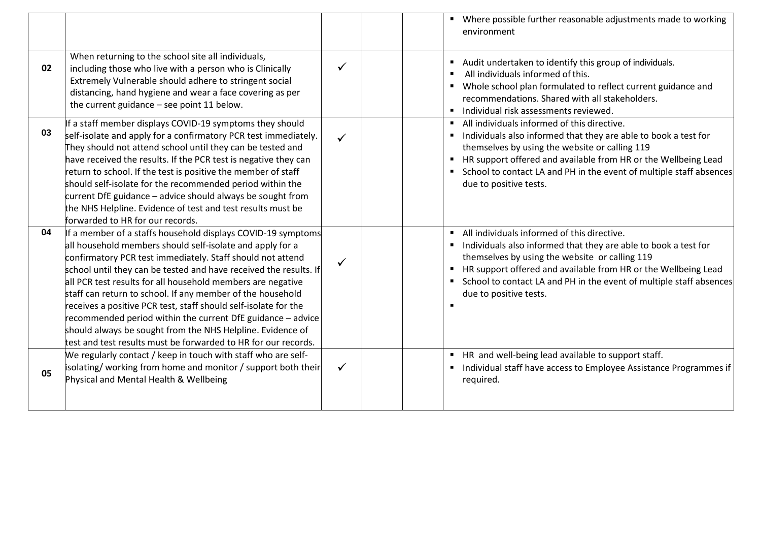|    |                                                                                                                                                                                                                                                                                                                                                                                                                                                                                                                                                                                                                                                             |   | • Where possible further reasonable adjustments made to working<br>environment                                                                                                                                                                                                                                                                                          |
|----|-------------------------------------------------------------------------------------------------------------------------------------------------------------------------------------------------------------------------------------------------------------------------------------------------------------------------------------------------------------------------------------------------------------------------------------------------------------------------------------------------------------------------------------------------------------------------------------------------------------------------------------------------------------|---|-------------------------------------------------------------------------------------------------------------------------------------------------------------------------------------------------------------------------------------------------------------------------------------------------------------------------------------------------------------------------|
| 02 | When returning to the school site all individuals,<br>including those who live with a person who is Clinically<br>Extremely Vulnerable should adhere to stringent social<br>distancing, hand hygiene and wear a face covering as per<br>the current guidance $-$ see point 11 below.                                                                                                                                                                                                                                                                                                                                                                        |   | Audit undertaken to identify this group of individuals.<br>All individuals informed of this.<br>Whole school plan formulated to reflect current guidance and<br>recommendations. Shared with all stakeholders.<br>Individual risk assessments reviewed.<br>$\blacksquare$                                                                                               |
| 03 | If a staff member displays COVID-19 symptoms they should<br>self-isolate and apply for a confirmatory PCR test immediately.<br>They should not attend school until they can be tested and<br>have received the results. If the PCR test is negative they can<br>return to school. If the test is positive the member of staff<br>should self-isolate for the recommended period within the<br>current DfE guidance – advice should always be sought from<br>the NHS Helpline. Evidence of test and test results must be<br>forwarded to HR for our records.                                                                                                 | ✓ | All individuals informed of this directive.<br>$\blacksquare$<br>Individuals also informed that they are able to book a test for<br>themselves by using the website or calling 119<br>HR support offered and available from HR or the Wellbeing Lead<br>$\blacksquare$<br>School to contact LA and PH in the event of multiple staff absences<br>due to positive tests. |
| 04 | If a member of a staffs household displays COVID-19 symptoms<br>all household members should self-isolate and apply for a<br>confirmatory PCR test immediately. Staff should not attend<br>school until they can be tested and have received the results. If<br>all PCR test results for all household members are negative<br>staff can return to school. If any member of the household<br>receives a positive PCR test, staff should self-isolate for the<br>recommended period within the current DfE guidance - advice<br>should always be sought from the NHS Helpline. Evidence of<br>test and test results must be forwarded to HR for our records. |   | • All individuals informed of this directive.<br>Individuals also informed that they are able to book a test for<br>themselves by using the website or calling 119<br>HR support offered and available from HR or the Wellbeing Lead<br>School to contact LA and PH in the event of multiple staff absences<br>due to positive tests.                                   |
| 05 | We regularly contact / keep in touch with staff who are self-<br>isolating/working from home and monitor / support both their<br>Physical and Mental Health & Wellbeing                                                                                                                                                                                                                                                                                                                                                                                                                                                                                     | ✓ | HR and well-being lead available to support staff.<br>$\blacksquare$<br>Individual staff have access to Employee Assistance Programmes if<br>required.                                                                                                                                                                                                                  |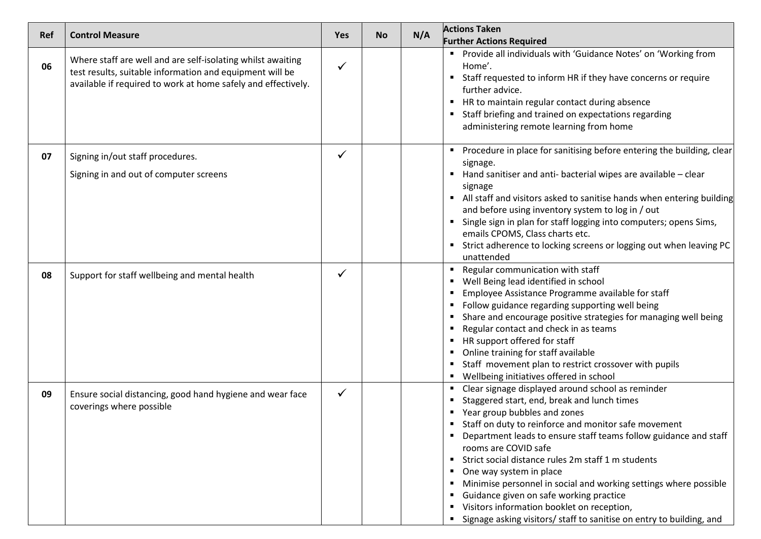| Ref | <b>Control Measure</b>                                                                                                                                                                   | <b>Yes</b>   | <b>No</b> | N/A | <b>Actions Taken</b><br><b>Further Actions Required</b>                                                                                                                                                                                                                                                                                                                                                                                                                                                                                                                                                                                                       |
|-----|------------------------------------------------------------------------------------------------------------------------------------------------------------------------------------------|--------------|-----------|-----|---------------------------------------------------------------------------------------------------------------------------------------------------------------------------------------------------------------------------------------------------------------------------------------------------------------------------------------------------------------------------------------------------------------------------------------------------------------------------------------------------------------------------------------------------------------------------------------------------------------------------------------------------------------|
| 06  | Where staff are well and are self-isolating whilst awaiting<br>test results, suitable information and equipment will be<br>available if required to work at home safely and effectively. |              |           |     | " Provide all individuals with 'Guidance Notes' on 'Working from<br>Home'.<br>Staff requested to inform HR if they have concerns or require<br>٠<br>further advice.<br>HR to maintain regular contact during absence<br>Staff briefing and trained on expectations regarding<br>administering remote learning from home                                                                                                                                                                                                                                                                                                                                       |
| 07  | Signing in/out staff procedures.<br>Signing in and out of computer screens                                                                                                               | $\checkmark$ |           |     | Procedure in place for sanitising before entering the building, clear<br>signage.<br>Hand sanitiser and anti- bacterial wipes are available - clear<br>signage<br>All staff and visitors asked to sanitise hands when entering building<br>and before using inventory system to log in / out<br>Single sign in plan for staff logging into computers; opens Sims,<br>emails CPOMS, Class charts etc.<br>Strict adherence to locking screens or logging out when leaving PC<br>unattended                                                                                                                                                                      |
| 08  | Support for staff wellbeing and mental health                                                                                                                                            | $\checkmark$ |           |     | Regular communication with staff<br>$\blacksquare$<br>Well Being lead identified in school<br>٠<br>Employee Assistance Programme available for staff<br>п<br>Follow guidance regarding supporting well being<br>Share and encourage positive strategies for managing well being<br>л.<br>Regular contact and check in as teams<br>п<br>HR support offered for staff<br>Online training for staff available<br>Staff movement plan to restrict crossover with pupils<br>Wellbeing initiatives offered in school<br>п.                                                                                                                                          |
| 09  | Ensure social distancing, good hand hygiene and wear face<br>coverings where possible                                                                                                    | $\checkmark$ |           |     | Clear signage displayed around school as reminder<br>Staggered start, end, break and lunch times<br>٠<br>Year group bubbles and zones<br>Staff on duty to reinforce and monitor safe movement<br>Department leads to ensure staff teams follow guidance and staff<br>л.<br>rooms are COVID safe<br>Strict social distance rules 2m staff 1 m students<br>$\blacksquare$<br>One way system in place<br>л.<br>Minimise personnel in social and working settings where possible<br>٠<br>Guidance given on safe working practice<br>Visitors information booklet on reception,<br>л.<br>Signage asking visitors/ staff to sanitise on entry to building, and<br>٠ |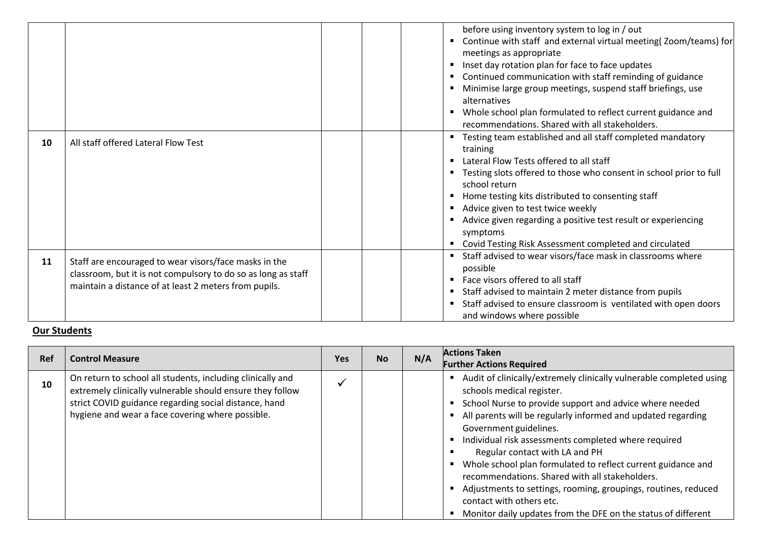|    |                                                                                                                        | before using inventory system to log in / out                             |
|----|------------------------------------------------------------------------------------------------------------------------|---------------------------------------------------------------------------|
|    |                                                                                                                        | Continue with staff and external virtual meeting (Zoom/teams) for         |
|    |                                                                                                                        | meetings as appropriate                                                   |
|    |                                                                                                                        | Inset day rotation plan for face to face updates                          |
|    |                                                                                                                        | Continued communication with staff reminding of guidance                  |
|    |                                                                                                                        | Minimise large group meetings, suspend staff briefings, use               |
|    |                                                                                                                        | alternatives                                                              |
|    |                                                                                                                        | Whole school plan formulated to reflect current guidance and              |
|    |                                                                                                                        | recommendations. Shared with all stakeholders.                            |
| 10 | All staff offered Lateral Flow Test                                                                                    | Testing team established and all staff completed mandatory                |
|    |                                                                                                                        | training                                                                  |
|    |                                                                                                                        | Lateral Flow Tests offered to all staff                                   |
|    |                                                                                                                        | Testing slots offered to those who consent in school prior to full        |
|    |                                                                                                                        | school return                                                             |
|    |                                                                                                                        | Home testing kits distributed to consenting staff<br>٠                    |
|    |                                                                                                                        | Advice given to test twice weekly                                         |
|    |                                                                                                                        | Advice given regarding a positive test result or experiencing<br>symptoms |
|    |                                                                                                                        | Covid Testing Risk Assessment completed and circulated                    |
| 11 | Staff are encouraged to wear visors/face masks in the                                                                  | Staff advised to wear visors/face mask in classrooms where                |
|    | classroom, but it is not compulsory to do so as long as staff<br>maintain a distance of at least 2 meters from pupils. | possible                                                                  |
|    |                                                                                                                        | Face visors offered to all staff<br>$\blacksquare$                        |
|    |                                                                                                                        | Staff advised to maintain 2 meter distance from pupils                    |
|    |                                                                                                                        | Staff advised to ensure classroom is ventilated with open doors           |
|    |                                                                                                                        | and windows where possible                                                |

## **Our Students**

| <b>Ref</b> | <b>Control Measure</b>                                                                                                                                                                                                               | <b>Yes</b> | <b>No</b> | N/A | <b>Actions Taken</b><br><b>Further Actions Required</b>                                                                                                                                                                                                                                                                                                                                                                                                                                                                                                                                                                               |
|------------|--------------------------------------------------------------------------------------------------------------------------------------------------------------------------------------------------------------------------------------|------------|-----------|-----|---------------------------------------------------------------------------------------------------------------------------------------------------------------------------------------------------------------------------------------------------------------------------------------------------------------------------------------------------------------------------------------------------------------------------------------------------------------------------------------------------------------------------------------------------------------------------------------------------------------------------------------|
| 10         | On return to school all students, including clinically and<br>extremely clinically vulnerable should ensure they follow<br>strict COVID guidance regarding social distance, hand<br>hygiene and wear a face covering where possible. |            |           |     | Audit of clinically/extremely clinically vulnerable completed using<br>schools medical register.<br>School Nurse to provide support and advice where needed<br>٠<br>All parents will be regularly informed and updated regarding<br>Government guidelines.<br>Individual risk assessments completed where required<br>Regular contact with LA and PH<br>Whole school plan formulated to reflect current guidance and<br>recommendations. Shared with all stakeholders.<br>Adjustments to settings, rooming, groupings, routines, reduced<br>contact with others etc.<br>Monitor daily updates from the DFE on the status of different |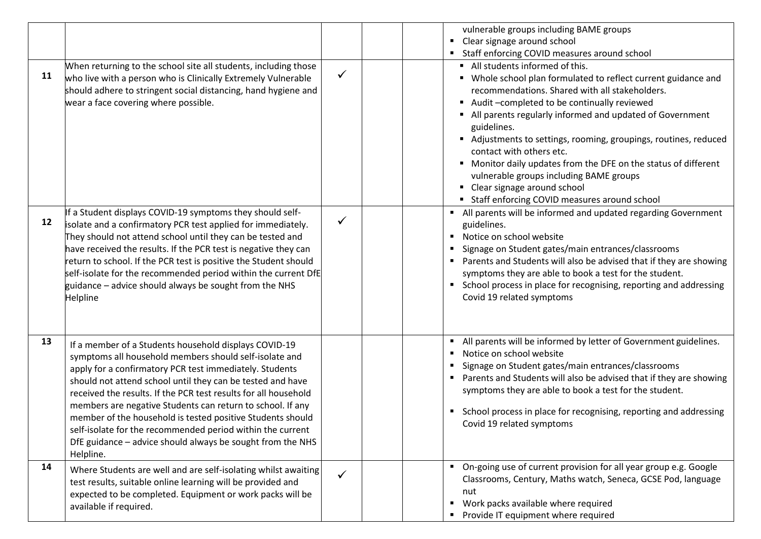|    |                                                                                                                                                                                                                                                                                                                                                                                                                                                                                                                                                                                  |              | vulnerable groups including BAME groups                                                                                                                                                                                                                                                                                                                                                                                                                                                                                                                              |
|----|----------------------------------------------------------------------------------------------------------------------------------------------------------------------------------------------------------------------------------------------------------------------------------------------------------------------------------------------------------------------------------------------------------------------------------------------------------------------------------------------------------------------------------------------------------------------------------|--------------|----------------------------------------------------------------------------------------------------------------------------------------------------------------------------------------------------------------------------------------------------------------------------------------------------------------------------------------------------------------------------------------------------------------------------------------------------------------------------------------------------------------------------------------------------------------------|
|    |                                                                                                                                                                                                                                                                                                                                                                                                                                                                                                                                                                                  |              | Clear signage around school<br>$\blacksquare$<br>Staff enforcing COVID measures around school                                                                                                                                                                                                                                                                                                                                                                                                                                                                        |
| 11 | When returning to the school site all students, including those<br>who live with a person who is Clinically Extremely Vulnerable<br>should adhere to stringent social distancing, hand hygiene and<br>wear a face covering where possible.                                                                                                                                                                                                                                                                                                                                       | $\checkmark$ | All students informed of this.<br>• Whole school plan formulated to reflect current guidance and<br>recommendations. Shared with all stakeholders.<br>Audit-completed to be continually reviewed<br>All parents regularly informed and updated of Government<br>guidelines.<br>Adjustments to settings, rooming, groupings, routines, reduced<br>contact with others etc.<br>Monitor daily updates from the DFE on the status of different<br>vulnerable groups including BAME groups<br>Clear signage around school<br>Staff enforcing COVID measures around school |
| 12 | If a Student displays COVID-19 symptoms they should self-<br>isolate and a confirmatory PCR test applied for immediately.<br>They should not attend school until they can be tested and<br>have received the results. If the PCR test is negative they can<br>return to school. If the PCR test is positive the Student should<br>self-isolate for the recommended period within the current DfE<br>guidance – advice should always be sought from the NHS<br>Helpline                                                                                                           | $\checkmark$ | All parents will be informed and updated regarding Government<br>guidelines.<br>Notice on school website<br>$\blacksquare$<br>Signage on Student gates/main entrances/classrooms<br>Parents and Students will also be advised that if they are showing<br>symptoms they are able to book a test for the student.<br>" School process in place for recognising, reporting and addressing<br>Covid 19 related symptoms                                                                                                                                                 |
| 13 | If a member of a Students household displays COVID-19<br>symptoms all household members should self-isolate and<br>apply for a confirmatory PCR test immediately. Students<br>should not attend school until they can be tested and have<br>received the results. If the PCR test results for all household<br>members are negative Students can return to school. If any<br>member of the household is tested positive Students should<br>self-isolate for the recommended period within the current<br>DfE guidance - advice should always be sought from the NHS<br>Helpline. |              | All parents will be informed by letter of Government guidelines.<br>Notice on school website<br>Signage on Student gates/main entrances/classrooms<br>Parents and Students will also be advised that if they are showing<br>symptoms they are able to book a test for the student.<br>School process in place for recognising, reporting and addressing<br>Covid 19 related symptoms                                                                                                                                                                                 |
| 14 | Where Students are well and are self-isolating whilst awaiting<br>test results, suitable online learning will be provided and<br>expected to be completed. Equipment or work packs will be<br>available if required.                                                                                                                                                                                                                                                                                                                                                             | ✓            | On-going use of current provision for all year group e.g. Google<br>Classrooms, Century, Maths watch, Seneca, GCSE Pod, language<br>nut<br>Work packs available where required<br>Provide IT equipment where required                                                                                                                                                                                                                                                                                                                                                |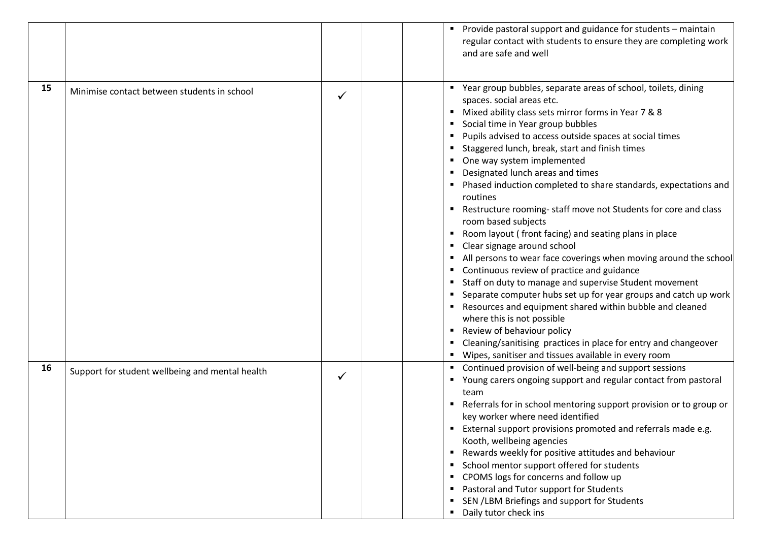|    |                                                 |   | Provide pastoral support and guidance for students - maintain<br>regular contact with students to ensure they are completing work<br>and are safe and well |
|----|-------------------------------------------------|---|------------------------------------------------------------------------------------------------------------------------------------------------------------|
| 15 | Minimise contact between students in school     |   | " Year group bubbles, separate areas of school, toilets, dining                                                                                            |
|    |                                                 |   | spaces. social areas etc.<br>Mixed ability class sets mirror forms in Year 7 & 8                                                                           |
|    |                                                 |   | Social time in Year group bubbles                                                                                                                          |
|    |                                                 |   | Pupils advised to access outside spaces at social times                                                                                                    |
|    |                                                 |   | Staggered lunch, break, start and finish times                                                                                                             |
|    |                                                 |   | One way system implemented                                                                                                                                 |
|    |                                                 |   | Designated lunch areas and times                                                                                                                           |
|    |                                                 |   | Phased induction completed to share standards, expectations and<br>routines                                                                                |
|    |                                                 |   | Restructure rooming- staff move not Students for core and class                                                                                            |
|    |                                                 |   | room based subjects                                                                                                                                        |
|    |                                                 |   | Room layout (front facing) and seating plans in place                                                                                                      |
|    |                                                 |   | Clear signage around school                                                                                                                                |
|    |                                                 |   | All persons to wear face coverings when moving around the school                                                                                           |
|    |                                                 |   | Continuous review of practice and guidance                                                                                                                 |
|    |                                                 |   | Staff on duty to manage and supervise Student movement                                                                                                     |
|    |                                                 |   | Separate computer hubs set up for year groups and catch up work                                                                                            |
|    |                                                 |   | Resources and equipment shared within bubble and cleaned                                                                                                   |
|    |                                                 |   | where this is not possible                                                                                                                                 |
|    |                                                 |   | Review of behaviour policy                                                                                                                                 |
|    |                                                 |   | Cleaning/sanitising practices in place for entry and changeover                                                                                            |
|    |                                                 |   | Wipes, sanitiser and tissues available in every room<br>• Continued provision of well-being and support sessions                                           |
| 16 | Support for student wellbeing and mental health | ✓ | Young carers ongoing support and regular contact from pastoral                                                                                             |
|    |                                                 |   | team                                                                                                                                                       |
|    |                                                 |   | Referrals for in school mentoring support provision or to group or<br>$\blacksquare$                                                                       |
|    |                                                 |   | key worker where need identified                                                                                                                           |
|    |                                                 |   | External support provisions promoted and referrals made e.g.                                                                                               |
|    |                                                 |   | Kooth, wellbeing agencies                                                                                                                                  |
|    |                                                 |   | Rewards weekly for positive attitudes and behaviour<br>$\blacksquare$                                                                                      |
|    |                                                 |   | School mentor support offered for students<br>п                                                                                                            |
|    |                                                 |   | CPOMS logs for concerns and follow up<br>٠                                                                                                                 |
|    |                                                 |   | Pastoral and Tutor support for Students<br>п                                                                                                               |
|    |                                                 |   | SEN /LBM Briefings and support for Students<br>$\blacksquare$                                                                                              |
|    |                                                 |   | Daily tutor check ins<br>$\blacksquare$                                                                                                                    |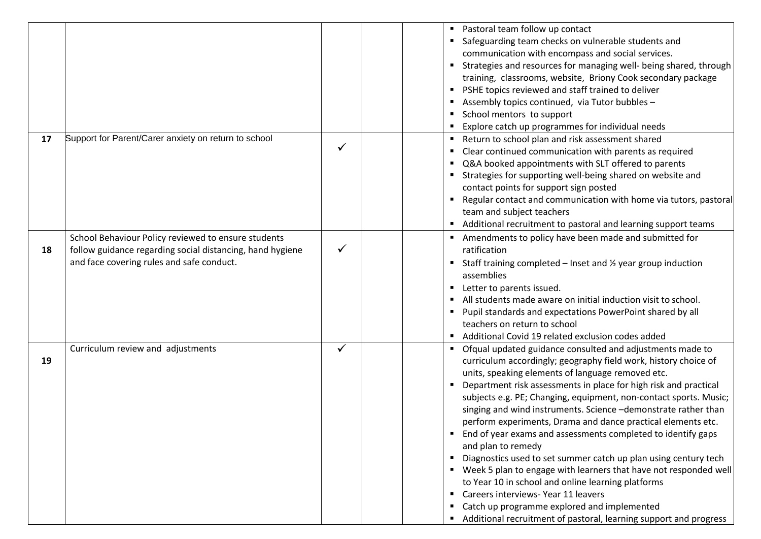|    |                                                           |  | Pastoral team follow up contact                                           |
|----|-----------------------------------------------------------|--|---------------------------------------------------------------------------|
|    |                                                           |  | Safeguarding team checks on vulnerable students and                       |
|    |                                                           |  | communication with encompass and social services.                         |
|    |                                                           |  | Strategies and resources for managing well- being shared, through         |
|    |                                                           |  | training, classrooms, website, Briony Cook secondary package              |
|    |                                                           |  | PSHE topics reviewed and staff trained to deliver                         |
|    |                                                           |  | Assembly topics continued, via Tutor bubbles -                            |
|    |                                                           |  | School mentors to support                                                 |
|    |                                                           |  | Explore catch up programmes for individual needs                          |
| 17 | Support for Parent/Carer anxiety on return to school      |  | Return to school plan and risk assessment shared<br>٠                     |
|    |                                                           |  | Clear continued communication with parents as required                    |
|    |                                                           |  | Q&A booked appointments with SLT offered to parents                       |
|    |                                                           |  | Strategies for supporting well-being shared on website and                |
|    |                                                           |  | contact points for support sign posted                                    |
|    |                                                           |  | Regular contact and communication with home via tutors, pastoral          |
|    |                                                           |  | team and subject teachers                                                 |
|    |                                                           |  | Additional recruitment to pastoral and learning support teams             |
|    | School Behaviour Policy reviewed to ensure students       |  | Amendments to policy have been made and submitted for                     |
| 18 | follow guidance regarding social distancing, hand hygiene |  | ratification                                                              |
|    | and face covering rules and safe conduct.                 |  |                                                                           |
|    |                                                           |  | Staff training completed $-$ Inset and $\frac{1}{2}$ year group induction |
|    |                                                           |  | assemblies                                                                |
|    |                                                           |  | Letter to parents issued.                                                 |
|    |                                                           |  | All students made aware on initial induction visit to school.             |
|    |                                                           |  | Pupil standards and expectations PowerPoint shared by all                 |
|    |                                                           |  | teachers on return to school                                              |
|    |                                                           |  | Additional Covid 19 related exclusion codes added                         |
|    | Curriculum review and adjustments                         |  | Ofqual updated guidance consulted and adjustments made to<br>٠            |
| 19 |                                                           |  | curriculum accordingly; geography field work, history choice of           |
|    |                                                           |  | units, speaking elements of language removed etc.                         |
|    |                                                           |  | Department risk assessments in place for high risk and practical          |
|    |                                                           |  | subjects e.g. PE; Changing, equipment, non-contact sports. Music;         |
|    |                                                           |  | singing and wind instruments. Science-demonstrate rather than             |
|    |                                                           |  | perform experiments, Drama and dance practical elements etc.              |
|    |                                                           |  | End of year exams and assessments completed to identify gaps              |
|    |                                                           |  | and plan to remedy                                                        |
|    |                                                           |  | Diagnostics used to set summer catch up plan using century tech<br>٠      |
|    |                                                           |  | Week 5 plan to engage with learners that have not responded well          |
|    |                                                           |  | to Year 10 in school and online learning platforms                        |
|    |                                                           |  | Careers interviews- Year 11 leavers                                       |
|    |                                                           |  | Catch up programme explored and implemented<br>٠                          |
|    |                                                           |  | Additional recruitment of pastoral, learning support and progress         |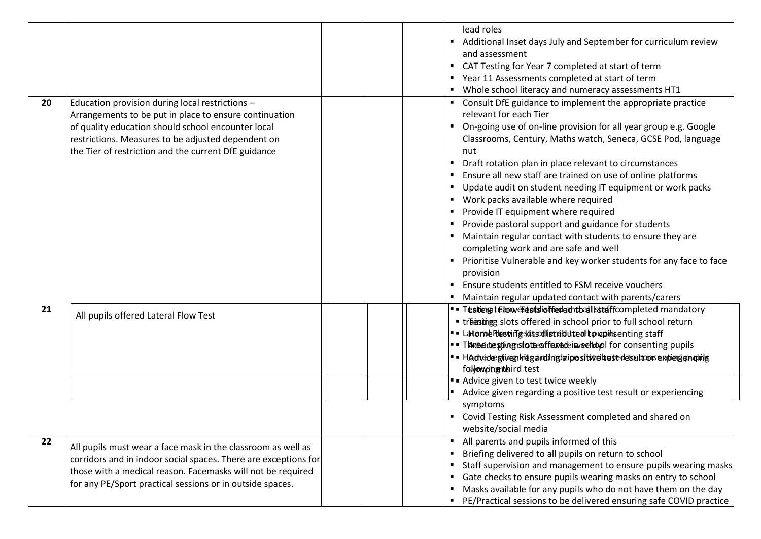|    |                                                                                                                                                                                                                                                                               |  | lead roles<br>Additional Inset days July and September for curriculum review<br>and assessment<br>CAT Testing for Year 7 completed at start of term<br>■ Year 11 Assessments completed at start of term<br>Whole school literacy and numeracy assessments HT1<br>$\blacksquare$                                                                                                                                                                                                                                                                                                                                                                                                                                                                                                                                                                                                                |
|----|-------------------------------------------------------------------------------------------------------------------------------------------------------------------------------------------------------------------------------------------------------------------------------|--|------------------------------------------------------------------------------------------------------------------------------------------------------------------------------------------------------------------------------------------------------------------------------------------------------------------------------------------------------------------------------------------------------------------------------------------------------------------------------------------------------------------------------------------------------------------------------------------------------------------------------------------------------------------------------------------------------------------------------------------------------------------------------------------------------------------------------------------------------------------------------------------------|
| 20 | Education provision during local restrictions -<br>Arrangements to be put in place to ensure continuation<br>of quality education should school encounter local<br>restrictions. Measures to be adjusted dependent on<br>the Tier of restriction and the current DfE guidance |  | Consult DfE guidance to implement the appropriate practice<br>relevant for each Tier<br>On-going use of on-line provision for all year group e.g. Google<br>Classrooms, Century, Maths watch, Seneca, GCSE Pod, language<br>nut<br>Draft rotation plan in place relevant to circumstances<br>п.<br>Ensure all new staff are trained on use of online platforms<br>Update audit on student needing IT equipment or work packs<br>$\blacksquare$<br>Work packs available where required<br>Provide IT equipment where required<br>Provide pastoral support and guidance for students<br>Maintain regular contact with students to ensure they are<br>completing work and are safe and well<br>Prioritise Vulnerable and key worker students for any face to face<br>provision<br><b>Ensure students entitled to FSM receive vouchers</b><br>Maintain regular updated contact with parents/carers |
| 21 | All pupils offered Lateral Flow Test                                                                                                                                                                                                                                          |  | = Teatingtetowerestslightedentballistraffcompleted mandatory<br>" traesting slots offered in school prior to full school return<br><b>= LateraeFlesting stis offerabited to upilsenting staff</b><br>Thrender striven stotses framed invertised for consenting pupils<br>= Hadvectegtineghiegandingdaipesitsteibestedesoutconsemplengenuphig<br>followpitentbird test<br>Advice given to test twice weekly<br>Advice given regarding a positive test result or experiencing<br>symptoms<br>" Covid Testing Risk Assessment completed and shared on<br>website/social media                                                                                                                                                                                                                                                                                                                     |
| 22 | All pupils must wear a face mask in the classroom as well as<br>corridors and in indoor social spaces. There are exceptions for<br>those with a medical reason. Facemasks will not be required<br>for any PE/Sport practical sessions or in outside spaces.                   |  | All parents and pupils informed of this<br>л.<br>Briefing delivered to all pupils on return to school<br>$\blacksquare$<br>Staff supervision and management to ensure pupils wearing masks<br>Gate checks to ensure pupils wearing masks on entry to school<br>Masks available for any pupils who do not have them on the day<br>PE/Practical sessions to be delivered ensuring safe COVID practice                                                                                                                                                                                                                                                                                                                                                                                                                                                                                            |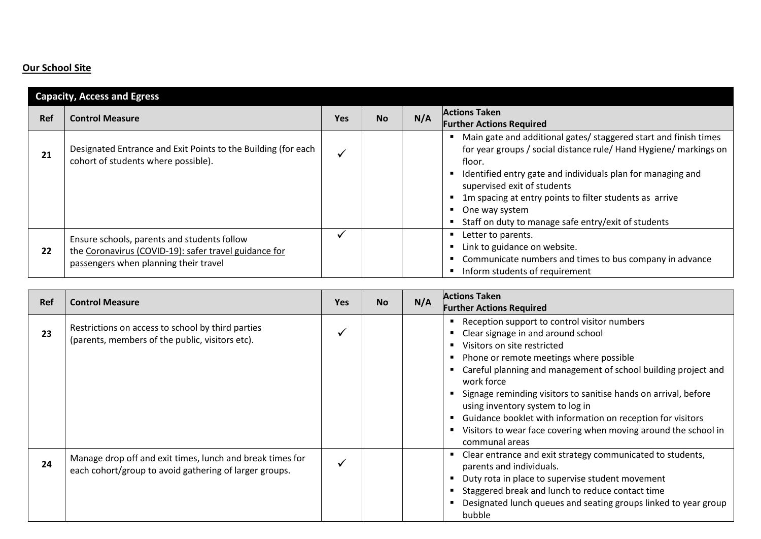# **Our School Site**

|     | <b>Capacity, Access and Egress</b>                                                                                                            |              |           |     |                                                                                                                                                                                                                                                                                                                                                                                   |  |
|-----|-----------------------------------------------------------------------------------------------------------------------------------------------|--------------|-----------|-----|-----------------------------------------------------------------------------------------------------------------------------------------------------------------------------------------------------------------------------------------------------------------------------------------------------------------------------------------------------------------------------------|--|
| Ref | <b>Control Measure</b>                                                                                                                        | <b>Yes</b>   | <b>No</b> | N/A | <b>Actions Taken</b><br><b>Further Actions Required</b>                                                                                                                                                                                                                                                                                                                           |  |
| 21  | Designated Entrance and Exit Points to the Building (for each<br>cohort of students where possible).                                          | $\checkmark$ |           |     | Main gate and additional gates/ staggered start and finish times<br>for year groups / social distance rule/ Hand Hygiene/ markings on<br>floor.<br>Identified entry gate and individuals plan for managing and<br>supervised exit of students<br>1m spacing at entry points to filter students as arrive<br>One way system<br>Staff on duty to manage safe entry/exit of students |  |
| 22  | Ensure schools, parents and students follow<br>the Coronavirus (COVID-19): safer travel guidance for<br>passengers when planning their travel |              |           |     | Letter to parents.<br>Link to guidance on website.<br>Communicate numbers and times to bus company in advance<br>Inform students of requirement                                                                                                                                                                                                                                   |  |

| Ref | <b>Control Measure</b>                                                                                              | <b>Yes</b> | <b>No</b> | N/A | <b>Actions Taken</b><br><b>Further Actions Required</b>                                                                                                                                                                                                                                                                                                                                                                                                                                                 |
|-----|---------------------------------------------------------------------------------------------------------------------|------------|-----------|-----|---------------------------------------------------------------------------------------------------------------------------------------------------------------------------------------------------------------------------------------------------------------------------------------------------------------------------------------------------------------------------------------------------------------------------------------------------------------------------------------------------------|
| 23  | Restrictions on access to school by third parties<br>(parents, members of the public, visitors etc).                |            |           |     | Reception support to control visitor numbers<br>Clear signage in and around school<br>Visitors on site restricted<br>Phone or remote meetings where possible<br>Careful planning and management of school building project and<br>work force<br>Signage reminding visitors to sanitise hands on arrival, before<br>using inventory system to log in<br>Guidance booklet with information on reception for visitors<br>Visitors to wear face covering when moving around the school in<br>communal areas |
| 24  | Manage drop off and exit times, lunch and break times for<br>each cohort/group to avoid gathering of larger groups. |            |           |     | Clear entrance and exit strategy communicated to students,<br>parents and individuals.<br>Duty rota in place to supervise student movement<br>Staggered break and lunch to reduce contact time<br>Designated lunch queues and seating groups linked to year group<br>bubble                                                                                                                                                                                                                             |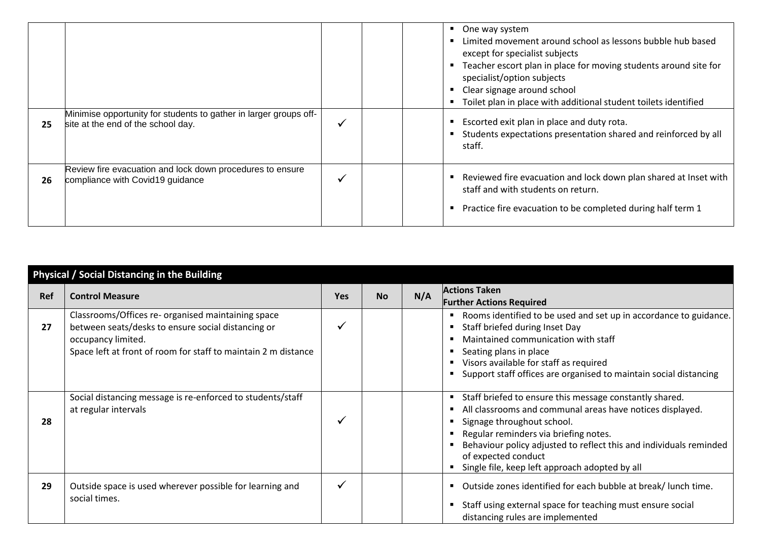|    |                                                                                                         |   | One way system<br>Limited movement around school as lessons bubble hub based<br>except for specialist subjects<br>Teacher escort plan in place for moving students around site for<br>specialist/option subjects<br>Clear signage around school<br>Toilet plan in place with additional student toilets identified |
|----|---------------------------------------------------------------------------------------------------------|---|--------------------------------------------------------------------------------------------------------------------------------------------------------------------------------------------------------------------------------------------------------------------------------------------------------------------|
| 25 | Minimise opportunity for students to gather in larger groups off-<br>site at the end of the school day. | ✓ | Escorted exit plan in place and duty rota.<br>Students expectations presentation shared and reinforced by all<br>staff.                                                                                                                                                                                            |
| 26 | Review fire evacuation and lock down procedures to ensure<br>compliance with Covid19 guidance           |   | Reviewed fire evacuation and lock down plan shared at Inset with<br>staff and with students on return.<br>Practice fire evacuation to be completed during half term 1                                                                                                                                              |

|            | Physical / Social Distancing in the Building                                                                                                                                                     |            |           |     |                                                                                                                                                                                                                                                                                                                                            |  |  |  |
|------------|--------------------------------------------------------------------------------------------------------------------------------------------------------------------------------------------------|------------|-----------|-----|--------------------------------------------------------------------------------------------------------------------------------------------------------------------------------------------------------------------------------------------------------------------------------------------------------------------------------------------|--|--|--|
| <b>Ref</b> | <b>Control Measure</b>                                                                                                                                                                           | <b>Yes</b> | <b>No</b> | N/A | <b>Actions Taken</b><br><b>Further Actions Required</b>                                                                                                                                                                                                                                                                                    |  |  |  |
| 27         | Classrooms/Offices re- organised maintaining space<br>between seats/desks to ensure social distancing or<br>occupancy limited.<br>Space left at front of room for staff to maintain 2 m distance |            |           |     | Rooms identified to be used and set up in accordance to guidance.<br>Staff briefed during Inset Day<br>Maintained communication with staff<br>Seating plans in place<br>Visors available for staff as required<br>Support staff offices are organised to maintain social distancing                                                        |  |  |  |
| 28         | Social distancing message is re-enforced to students/staff<br>at regular intervals                                                                                                               |            |           |     | Staff briefed to ensure this message constantly shared.<br>All classrooms and communal areas have notices displayed.<br>Signage throughout school.<br>Regular reminders via briefing notes.<br>Behaviour policy adjusted to reflect this and individuals reminded<br>of expected conduct<br>Single file, keep left approach adopted by all |  |  |  |
| 29         | Outside space is used wherever possible for learning and<br>social times.                                                                                                                        |            |           |     | Outside zones identified for each bubble at break/ lunch time.<br>Staff using external space for teaching must ensure social<br>distancing rules are implemented                                                                                                                                                                           |  |  |  |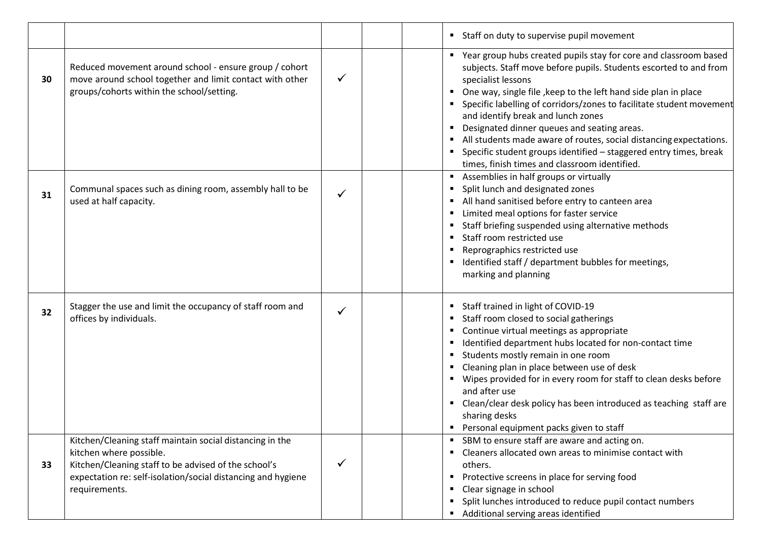|    |                                                                                                                                                                                                                              |   | " Staff on duty to supervise pupil movement                                                                                                                                                                                                                                                                                                                                                                                                                                                                                                                                              |
|----|------------------------------------------------------------------------------------------------------------------------------------------------------------------------------------------------------------------------------|---|------------------------------------------------------------------------------------------------------------------------------------------------------------------------------------------------------------------------------------------------------------------------------------------------------------------------------------------------------------------------------------------------------------------------------------------------------------------------------------------------------------------------------------------------------------------------------------------|
| 30 | Reduced movement around school - ensure group / cohort<br>move around school together and limit contact with other<br>groups/cohorts within the school/setting.                                                              | ✓ | " Year group hubs created pupils stay for core and classroom based<br>subjects. Staff move before pupils. Students escorted to and from<br>specialist lessons<br>One way, single file, keep to the left hand side plan in place<br>Specific labelling of corridors/zones to facilitate student movement<br>and identify break and lunch zones<br>Designated dinner queues and seating areas.<br>All students made aware of routes, social distancing expectations.<br>Specific student groups identified - staggered entry times, break<br>times, finish times and classroom identified. |
| 31 | Communal spaces such as dining room, assembly hall to be<br>used at half capacity.                                                                                                                                           |   | Assemblies in half groups or virtually<br>Split lunch and designated zones<br>All hand sanitised before entry to canteen area<br>٠<br>Limited meal options for faster service<br>Staff briefing suspended using alternative methods<br>Staff room restricted use<br>Reprographics restricted use<br>• Identified staff / department bubbles for meetings,<br>marking and planning                                                                                                                                                                                                        |
| 32 | Stagger the use and limit the occupancy of staff room and<br>offices by individuals.                                                                                                                                         | ✓ | ■ Staff trained in light of COVID-19<br>Staff room closed to social gatherings<br>Continue virtual meetings as appropriate<br>Identified department hubs located for non-contact time<br>Students mostly remain in one room<br>Cleaning plan in place between use of desk<br>Wipes provided for in every room for staff to clean desks before<br>and after use<br>• Clean/clear desk policy has been introduced as teaching staff are<br>sharing desks<br>• Personal equipment packs given to staff                                                                                      |
| 33 | Kitchen/Cleaning staff maintain social distancing in the<br>kitchen where possible.<br>Kitchen/Cleaning staff to be advised of the school's<br>expectation re: self-isolation/social distancing and hygiene<br>requirements. |   | SBM to ensure staff are aware and acting on.<br>٠<br>Cleaners allocated own areas to minimise contact with<br>others.<br>Protective screens in place for serving food<br>Clear signage in school<br>Split lunches introduced to reduce pupil contact numbers<br>Additional serving areas identified                                                                                                                                                                                                                                                                                      |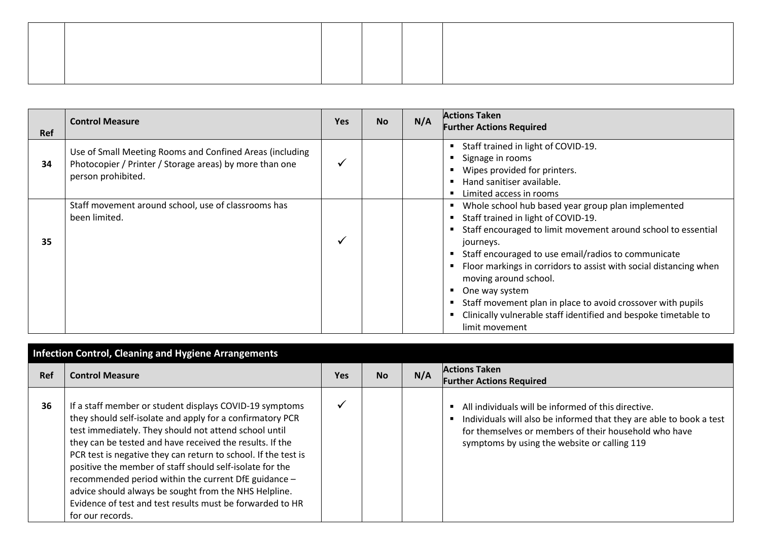| <b>Ref</b> | <b>Control Measure</b>                                                                                                                    | <b>Yes</b> | <b>No</b> | N/A | <b>Actions Taken</b><br><b>Further Actions Required</b>                                                                                                                                                                                                                                                                                                                                                                                                                                            |
|------------|-------------------------------------------------------------------------------------------------------------------------------------------|------------|-----------|-----|----------------------------------------------------------------------------------------------------------------------------------------------------------------------------------------------------------------------------------------------------------------------------------------------------------------------------------------------------------------------------------------------------------------------------------------------------------------------------------------------------|
| 34         | Use of Small Meeting Rooms and Confined Areas (including<br>Photocopier / Printer / Storage areas) by more than one<br>person prohibited. |            |           |     | Staff trained in light of COVID-19.<br>٠<br>Signage in rooms<br>Wipes provided for printers.<br>Hand sanitiser available.<br>Limited access in rooms                                                                                                                                                                                                                                                                                                                                               |
| 35         | Staff movement around school, use of classrooms has<br>been limited.                                                                      | ✓          |           |     | Whole school hub based year group plan implemented<br>Staff trained in light of COVID-19.<br>Staff encouraged to limit movement around school to essential<br>journeys.<br>Staff encouraged to use email/radios to communicate<br>Floor markings in corridors to assist with social distancing when<br>moving around school.<br>One way system<br>Staff movement plan in place to avoid crossover with pupils<br>Clinically vulnerable staff identified and bespoke timetable to<br>limit movement |

|            | <b>Infection Control, Cleaning and Hygiene Arrangements</b>                                                                                                                                                                                                                                                                                                                                                                                                                                                                                                               |            |           |     |                                                                                                                                                                                                                                     |  |  |
|------------|---------------------------------------------------------------------------------------------------------------------------------------------------------------------------------------------------------------------------------------------------------------------------------------------------------------------------------------------------------------------------------------------------------------------------------------------------------------------------------------------------------------------------------------------------------------------------|------------|-----------|-----|-------------------------------------------------------------------------------------------------------------------------------------------------------------------------------------------------------------------------------------|--|--|
| <b>Ref</b> | <b>Control Measure</b>                                                                                                                                                                                                                                                                                                                                                                                                                                                                                                                                                    | <b>Yes</b> | <b>No</b> | N/A | <b>Actions Taken</b><br><b>Further Actions Required</b>                                                                                                                                                                             |  |  |
| 36         | If a staff member or student displays COVID-19 symptoms<br>they should self-isolate and apply for a confirmatory PCR<br>test immediately. They should not attend school until<br>they can be tested and have received the results. If the<br>PCR test is negative they can return to school. If the test is<br>positive the member of staff should self-isolate for the<br>recommended period within the current DfE guidance -<br>advice should always be sought from the NHS Helpline.<br>Evidence of test and test results must be forwarded to HR<br>for our records. |            |           |     | All individuals will be informed of this directive.<br>Individuals will also be informed that they are able to book a test<br>for themselves or members of their household who have<br>symptoms by using the website or calling 119 |  |  |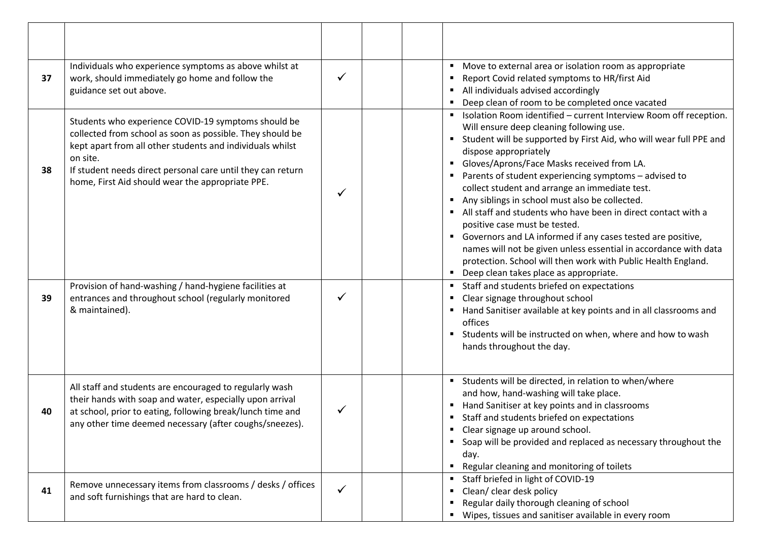| 37 | Individuals who experience symptoms as above whilst at<br>work, should immediately go home and follow the<br>guidance set out above.                                                                                                                                                                         | ✓            | • Move to external area or isolation room as appropriate<br>Report Covid related symptoms to HR/first Aid<br>All individuals advised accordingly<br>٠<br>Deep clean of room to be completed once vacated<br>$\blacksquare$                                                                                                                                                                                                                                                                                                                                                                                                                                                                                                                                                                       |
|----|--------------------------------------------------------------------------------------------------------------------------------------------------------------------------------------------------------------------------------------------------------------------------------------------------------------|--------------|--------------------------------------------------------------------------------------------------------------------------------------------------------------------------------------------------------------------------------------------------------------------------------------------------------------------------------------------------------------------------------------------------------------------------------------------------------------------------------------------------------------------------------------------------------------------------------------------------------------------------------------------------------------------------------------------------------------------------------------------------------------------------------------------------|
| 38 | Students who experience COVID-19 symptoms should be<br>collected from school as soon as possible. They should be<br>kept apart from all other students and individuals whilst<br>on site.<br>If student needs direct personal care until they can return<br>home, First Aid should wear the appropriate PPE. | ✓            | " Isolation Room identified - current Interview Room off reception.<br>Will ensure deep cleaning following use.<br>Student will be supported by First Aid, who will wear full PPE and<br>dispose appropriately<br>Gloves/Aprons/Face Masks received from LA.<br>٠<br>Parents of student experiencing symptoms - advised to<br>collect student and arrange an immediate test.<br>Any siblings in school must also be collected.<br>All staff and students who have been in direct contact with a<br>positive case must be tested.<br>Governors and LA informed if any cases tested are positive,<br>$\blacksquare$<br>names will not be given unless essential in accordance with data<br>protection. School will then work with Public Health England.<br>Deep clean takes place as appropriate. |
| 39 | Provision of hand-washing / hand-hygiene facilities at<br>entrances and throughout school (regularly monitored<br>& maintained).                                                                                                                                                                             | ✓            | Staff and students briefed on expectations<br>$\blacksquare$<br>Clear signage throughout school<br>Hand Sanitiser available at key points and in all classrooms and<br>offices<br>Students will be instructed on when, where and how to wash<br>hands throughout the day.                                                                                                                                                                                                                                                                                                                                                                                                                                                                                                                        |
| 40 | All staff and students are encouraged to regularly wash<br>their hands with soap and water, especially upon arrival<br>at school, prior to eating, following break/lunch time and<br>any other time deemed necessary (after coughs/sneezes).                                                                 | ✓            | " Students will be directed, in relation to when/where<br>and how, hand-washing will take place.<br>Hand Sanitiser at key points and in classrooms<br>л.<br>Staff and students briefed on expectations<br>Clear signage up around school.<br>Soap will be provided and replaced as necessary throughout the<br>day.<br>Regular cleaning and monitoring of toilets<br>٠                                                                                                                                                                                                                                                                                                                                                                                                                           |
| 41 | Remove unnecessary items from classrooms / desks / offices<br>and soft furnishings that are hard to clean.                                                                                                                                                                                                   | $\checkmark$ | Staff briefed in light of COVID-19<br>Clean/ clear desk policy<br>Regular daily thorough cleaning of school<br>Wipes, tissues and sanitiser available in every room                                                                                                                                                                                                                                                                                                                                                                                                                                                                                                                                                                                                                              |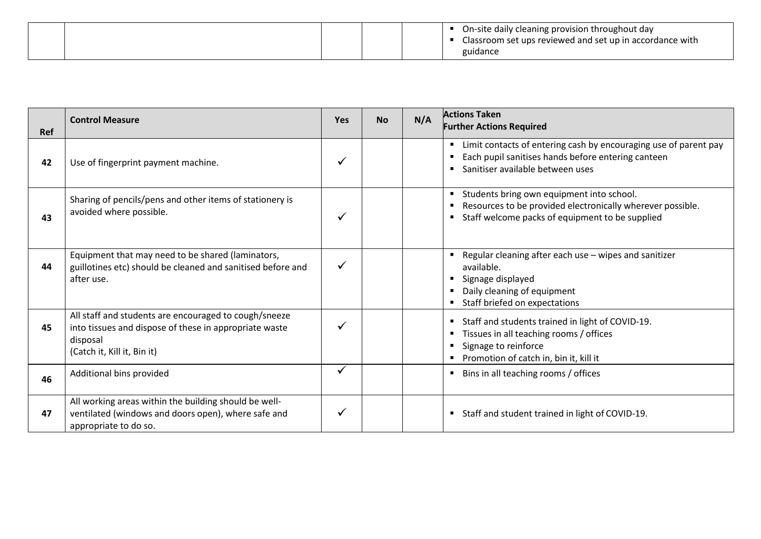|  |  | On-site daily cleaning provision throughout day<br>Classroom set ups reviewed and set up in accordance with |
|--|--|-------------------------------------------------------------------------------------------------------------|
|  |  |                                                                                                             |

| <b>Ref</b> | <b>Control Measure</b>                                                                                                                                     | <b>Yes</b>   | <b>No</b> | N/A | <b>Actions Taken</b><br><b>Further Actions Required</b>                                                                                                              |
|------------|------------------------------------------------------------------------------------------------------------------------------------------------------------|--------------|-----------|-----|----------------------------------------------------------------------------------------------------------------------------------------------------------------------|
| 42         | Use of fingerprint payment machine.                                                                                                                        | ✓            |           |     | " Limit contacts of entering cash by encouraging use of parent pay<br>Each pupil sanitises hands before entering canteen<br>Sanitiser available between uses         |
| 43         | Sharing of pencils/pens and other items of stationery is<br>avoided where possible.                                                                        |              |           |     | Students bring own equipment into school.<br>٠<br>Resources to be provided electronically wherever possible.<br>٠<br>Staff welcome packs of equipment to be supplied |
| 44         | Equipment that may need to be shared (laminators,<br>guillotines etc) should be cleaned and sanitised before and<br>after use.                             |              |           |     | Regular cleaning after each use - wipes and sanitizer<br>available.<br>Signage displayed<br>Daily cleaning of equipment<br>Staff briefed on expectations             |
| 45         | All staff and students are encouraged to cough/sneeze<br>into tissues and dispose of these in appropriate waste<br>disposal<br>(Catch it, Kill it, Bin it) | ✓            |           |     | Staff and students trained in light of COVID-19.<br>Tissues in all teaching rooms / offices<br>Signage to reinforce<br>٠<br>Promotion of catch in, bin it, kill it   |
| 46         | Additional bins provided                                                                                                                                   | $\checkmark$ |           |     | Bins in all teaching rooms / offices                                                                                                                                 |
| 47         | All working areas within the building should be well-<br>ventilated (windows and doors open), where safe and<br>appropriate to do so.                      |              |           |     | " Staff and student trained in light of COVID-19.                                                                                                                    |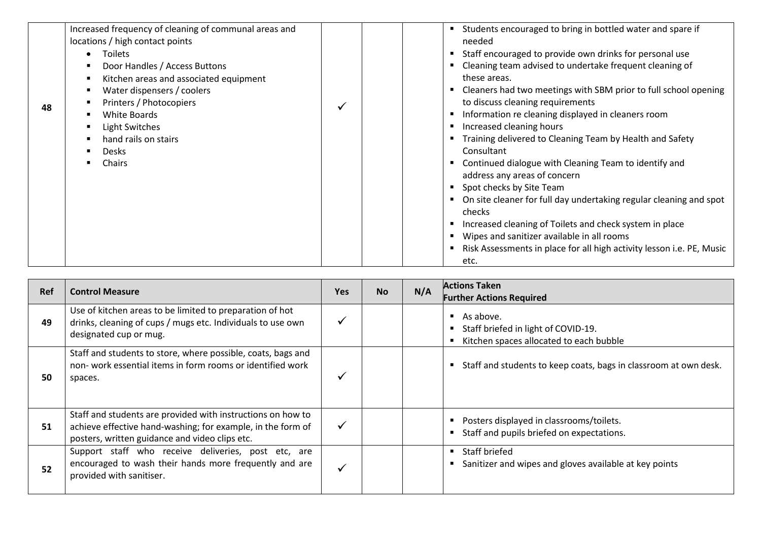| 48 | Increased frequency of cleaning of communal areas and<br>locations / high contact points<br>Toilets<br>$\bullet$<br>Door Handles / Access Buttons<br>Kitchen areas and associated equipment<br>п<br>Water dispensers / coolers<br>п<br>Printers / Photocopiers<br>п<br>White Boards<br>п<br>Light Switches<br>٠<br>hand rails on stairs<br>п<br><b>Desks</b><br>п<br>Chairs<br>$\blacksquare$ | $\checkmark$ |  | " Students encouraged to bring in bottled water and spare if<br>needed<br>Staff encouraged to provide own drinks for personal use<br>Cleaning team advised to undertake frequent cleaning of<br>these areas.<br>Cleaners had two meetings with SBM prior to full school opening<br>to discuss cleaning requirements<br>Information re cleaning displayed in cleaners room<br>Increased cleaning hours<br>Training delivered to Cleaning Team by Health and Safety<br>Consultant<br>Continued dialogue with Cleaning Team to identify and<br>address any areas of concern<br>Spot checks by Site Team<br>On site cleaner for full day undertaking regular cleaning and spot<br>checks<br>Increased cleaning of Toilets and check system in place<br>Wipes and sanitizer available in all rooms<br>Risk Assessments in place for all high activity lesson i.e. PE, Music<br>etc. |
|----|-----------------------------------------------------------------------------------------------------------------------------------------------------------------------------------------------------------------------------------------------------------------------------------------------------------------------------------------------------------------------------------------------|--------------|--|--------------------------------------------------------------------------------------------------------------------------------------------------------------------------------------------------------------------------------------------------------------------------------------------------------------------------------------------------------------------------------------------------------------------------------------------------------------------------------------------------------------------------------------------------------------------------------------------------------------------------------------------------------------------------------------------------------------------------------------------------------------------------------------------------------------------------------------------------------------------------------|
|----|-----------------------------------------------------------------------------------------------------------------------------------------------------------------------------------------------------------------------------------------------------------------------------------------------------------------------------------------------------------------------------------------------|--------------|--|--------------------------------------------------------------------------------------------------------------------------------------------------------------------------------------------------------------------------------------------------------------------------------------------------------------------------------------------------------------------------------------------------------------------------------------------------------------------------------------------------------------------------------------------------------------------------------------------------------------------------------------------------------------------------------------------------------------------------------------------------------------------------------------------------------------------------------------------------------------------------------|

| <b>Ref</b> | <b>Control Measure</b>                                                                                                                                                       | <b>Yes</b> | <b>No</b> | N/A | <b>Actions Taken</b><br><b>Further Actions Required</b>                                                      |
|------------|------------------------------------------------------------------------------------------------------------------------------------------------------------------------------|------------|-----------|-----|--------------------------------------------------------------------------------------------------------------|
| 49         | Use of kitchen areas to be limited to preparation of hot<br>drinks, cleaning of cups / mugs etc. Individuals to use own<br>designated cup or mug.                            |            |           |     | $\blacksquare$ As above.<br>■ Staff briefed in light of COVID-19.<br>Kitchen spaces allocated to each bubble |
| 50         | Staff and students to store, where possible, coats, bags and<br>non-work essential items in form rooms or identified work<br>spaces.                                         |            |           |     | " Staff and students to keep coats, bags in classroom at own desk.                                           |
| 51         | Staff and students are provided with instructions on how to<br>achieve effective hand-washing; for example, in the form of<br>posters, written guidance and video clips etc. |            |           |     | Posters displayed in classrooms/toilets.<br>Staff and pupils briefed on expectations.                        |
| 52         | Support staff who receive deliveries, post etc, are<br>encouraged to wash their hands more frequently and are<br>provided with sanitiser.                                    |            |           |     | ■ Staff briefed<br>Sanitizer and wipes and gloves available at key points                                    |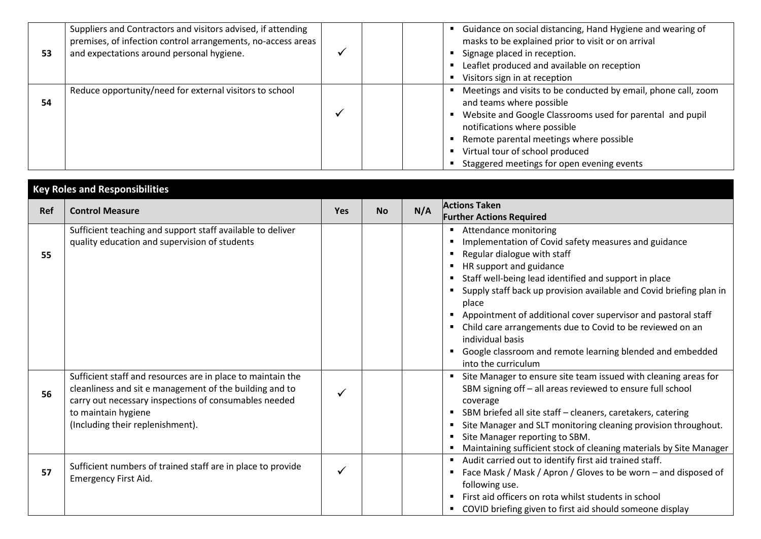|    | Suppliers and Contractors and visitors advised, if attending | Guidance on social distancing, Hand Hygiene and wearing of     |
|----|--------------------------------------------------------------|----------------------------------------------------------------|
|    | premises, of infection control arrangements, no-access areas | masks to be explained prior to visit or on arrival             |
| 53 | and expectations around personal hygiene.                    | Signage placed in reception.                                   |
|    |                                                              | Leaflet produced and available on reception                    |
|    |                                                              | Visitors sign in at reception                                  |
|    | Reduce opportunity/need for external visitors to school      | Meetings and visits to be conducted by email, phone call, zoom |
| 54 |                                                              | and teams where possible                                       |
|    |                                                              | Website and Google Classrooms used for parental and pupil      |
|    |                                                              | notifications where possible                                   |
|    |                                                              | Remote parental meetings where possible                        |
|    |                                                              | Virtual tour of school produced                                |
|    |                                                              | Staggered meetings for open evening events                     |

| <b>Key Roles and Responsibilities</b> |                                                                                                                                                                                                                                            |              |           |     |                                                                                                                                                                                                                                                                                                                                                                                                                                                                                                                                                                                  |
|---------------------------------------|--------------------------------------------------------------------------------------------------------------------------------------------------------------------------------------------------------------------------------------------|--------------|-----------|-----|----------------------------------------------------------------------------------------------------------------------------------------------------------------------------------------------------------------------------------------------------------------------------------------------------------------------------------------------------------------------------------------------------------------------------------------------------------------------------------------------------------------------------------------------------------------------------------|
| Ref                                   | <b>Control Measure</b>                                                                                                                                                                                                                     | <b>Yes</b>   | <b>No</b> | N/A | <b>Actions Taken</b><br><b>Further Actions Required</b>                                                                                                                                                                                                                                                                                                                                                                                                                                                                                                                          |
| 55                                    | Sufficient teaching and support staff available to deliver<br>quality education and supervision of students                                                                                                                                |              |           |     | Attendance monitoring<br>٠<br>Implementation of Covid safety measures and guidance<br>п<br>Regular dialogue with staff<br>п<br>HR support and guidance<br>п<br>Staff well-being lead identified and support in place<br>п<br>Supply staff back up provision available and Covid briefing plan in<br>п<br>place<br>Appointment of additional cover supervisor and pastoral staff<br>п<br>Child care arrangements due to Covid to be reviewed on an<br>п<br>individual basis<br>Google classroom and remote learning blended and embedded<br>$\blacksquare$<br>into the curriculum |
| 56                                    | Sufficient staff and resources are in place to maintain the<br>cleanliness and sit e management of the building and to<br>carry out necessary inspections of consumables needed<br>to maintain hygiene<br>(Including their replenishment). |              |           |     | Site Manager to ensure site team issued with cleaning areas for<br>$\blacksquare$<br>SBM signing off - all areas reviewed to ensure full school<br>coverage<br>SBM briefed all site staff - cleaners, caretakers, catering<br>п<br>Site Manager and SLT monitoring cleaning provision throughout.<br>٠<br>Site Manager reporting to SBM.<br>п<br>Maintaining sufficient stock of cleaning materials by Site Manager<br>п                                                                                                                                                         |
| 57                                    | Sufficient numbers of trained staff are in place to provide<br>Emergency First Aid.                                                                                                                                                        | $\checkmark$ |           |     | Audit carried out to identify first aid trained staff.<br>$\blacksquare$<br>Face Mask / Mask / Apron / Gloves to be worn – and disposed of<br>п<br>following use.<br>First aid officers on rota whilst students in school<br>$\blacksquare$<br>COVID briefing given to first aid should someone display<br>$\blacksquare$                                                                                                                                                                                                                                                        |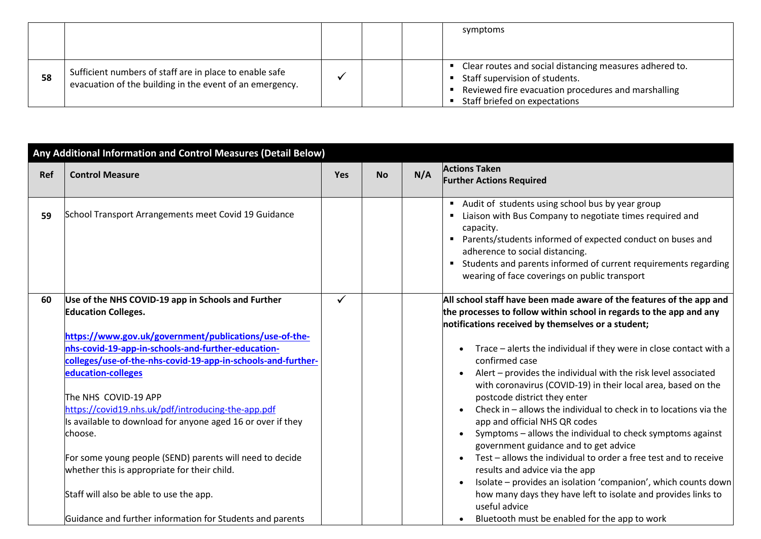|    |                                                                                                                     |  | symptoms                                                                                                                                                                          |
|----|---------------------------------------------------------------------------------------------------------------------|--|-----------------------------------------------------------------------------------------------------------------------------------------------------------------------------------|
|    |                                                                                                                     |  |                                                                                                                                                                                   |
| 58 | Sufficient numbers of staff are in place to enable safe<br>evacuation of the building in the event of an emergency. |  | Clear routes and social distancing measures adhered to.<br>Staff supervision of students.<br>Reviewed fire evacuation procedures and marshalling<br>Staff briefed on expectations |

| Any Additional Information and Control Measures (Detail Below) |                                                                                                                                            |            |           |     |                                                                                                                                                                                                                                                                                                                                                     |
|----------------------------------------------------------------|--------------------------------------------------------------------------------------------------------------------------------------------|------------|-----------|-----|-----------------------------------------------------------------------------------------------------------------------------------------------------------------------------------------------------------------------------------------------------------------------------------------------------------------------------------------------------|
| <b>Ref</b>                                                     | <b>Control Measure</b>                                                                                                                     | <b>Yes</b> | <b>No</b> | N/A | <b>Actions Taken</b><br><b>Further Actions Required</b>                                                                                                                                                                                                                                                                                             |
| 59                                                             | School Transport Arrangements meet Covid 19 Guidance                                                                                       |            |           |     | Audit of students using school bus by year group<br>Liaison with Bus Company to negotiate times required and<br>capacity.<br>Parents/students informed of expected conduct on buses and<br>adherence to social distancing.<br>Students and parents informed of current requirements regarding<br>п<br>wearing of face coverings on public transport |
| 60                                                             | Use of the NHS COVID-19 app in Schools and Further<br><b>Education Colleges.</b><br>https://www.gov.uk/government/publications/use-of-the- | ✓          |           |     | All school staff have been made aware of the features of the app and<br>the processes to follow within school in regards to the app and any<br>notifications received by themselves or a student;                                                                                                                                                   |
|                                                                | nhs-covid-19-app-in-schools-and-further-education-<br>colleges/use-of-the-nhs-covid-19-app-in-schools-and-further-                         |            |           |     | Trace – alerts the individual if they were in close contact with a<br>confirmed case                                                                                                                                                                                                                                                                |
|                                                                | education-colleges                                                                                                                         |            |           |     | Alert – provides the individual with the risk level associated<br>with coronavirus (COVID-19) in their local area, based on the                                                                                                                                                                                                                     |
|                                                                | The NHS COVID-19 APP                                                                                                                       |            |           |     | postcode district they enter                                                                                                                                                                                                                                                                                                                        |
|                                                                | https://covid19.nhs.uk/pdf/introducing-the-app.pdf                                                                                         |            |           |     | Check in $-$ allows the individual to check in to locations via the                                                                                                                                                                                                                                                                                 |
|                                                                | Is available to download for anyone aged 16 or over if they                                                                                |            |           |     | app and official NHS QR codes                                                                                                                                                                                                                                                                                                                       |
|                                                                | lchoose.                                                                                                                                   |            |           |     | Symptoms - allows the individual to check symptoms against<br>government guidance and to get advice                                                                                                                                                                                                                                                 |
|                                                                | For some young people (SEND) parents will need to decide                                                                                   |            |           |     | Test – allows the individual to order a free test and to receive                                                                                                                                                                                                                                                                                    |
|                                                                | whether this is appropriate for their child.                                                                                               |            |           |     | results and advice via the app<br>Isolate - provides an isolation 'companion', which counts down                                                                                                                                                                                                                                                    |
|                                                                | Staff will also be able to use the app.                                                                                                    |            |           |     | how many days they have left to isolate and provides links to<br>useful advice                                                                                                                                                                                                                                                                      |
|                                                                | Guidance and further information for Students and parents                                                                                  |            |           |     | Bluetooth must be enabled for the app to work                                                                                                                                                                                                                                                                                                       |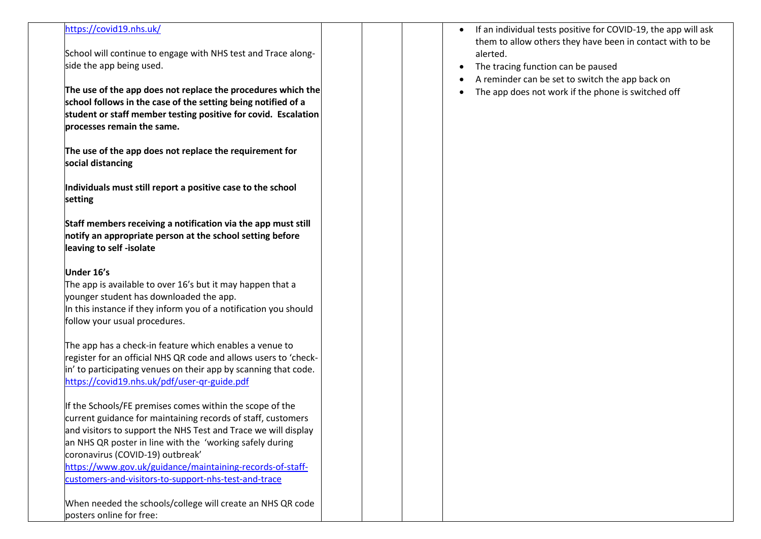| https://covid19.nhs.uk/<br>School will continue to engage with NHS test and Trace along-<br>side the app being used.                                                                                       | If an individual tests positive for COVID-19, the app will ask<br>$\bullet$<br>them to allow others they have been in contact with to be<br>alerted.<br>The tracing function can be paused<br>$\bullet$<br>A reminder can be set to switch the app back on |
|------------------------------------------------------------------------------------------------------------------------------------------------------------------------------------------------------------|------------------------------------------------------------------------------------------------------------------------------------------------------------------------------------------------------------------------------------------------------------|
| The use of the app does not replace the procedures which the                                                                                                                                               | The app does not work if the phone is switched off<br>$\bullet$                                                                                                                                                                                            |
| school follows in the case of the setting being notified of a                                                                                                                                              |                                                                                                                                                                                                                                                            |
| student or staff member testing positive for covid. Escalation<br>processes remain the same.                                                                                                               |                                                                                                                                                                                                                                                            |
| The use of the app does not replace the requirement for<br>social distancing                                                                                                                               |                                                                                                                                                                                                                                                            |
| Individuals must still report a positive case to the school<br>setting                                                                                                                                     |                                                                                                                                                                                                                                                            |
| Staff members receiving a notification via the app must still<br>notify an appropriate person at the school setting before<br>leaving to self-isolate                                                      |                                                                                                                                                                                                                                                            |
| Under 16's                                                                                                                                                                                                 |                                                                                                                                                                                                                                                            |
| The app is available to over 16's but it may happen that a<br>younger student has downloaded the app.<br>In this instance if they inform you of a notification you should<br>follow your usual procedures. |                                                                                                                                                                                                                                                            |
|                                                                                                                                                                                                            |                                                                                                                                                                                                                                                            |
| The app has a check-in feature which enables a venue to                                                                                                                                                    |                                                                                                                                                                                                                                                            |
| register for an official NHS QR code and allows users to 'check-                                                                                                                                           |                                                                                                                                                                                                                                                            |
| in' to participating venues on their app by scanning that code.                                                                                                                                            |                                                                                                                                                                                                                                                            |
| https://covid19.nhs.uk/pdf/user-gr-guide.pdf                                                                                                                                                               |                                                                                                                                                                                                                                                            |
|                                                                                                                                                                                                            |                                                                                                                                                                                                                                                            |
|                                                                                                                                                                                                            |                                                                                                                                                                                                                                                            |
| If the Schools/FE premises comes within the scope of the                                                                                                                                                   |                                                                                                                                                                                                                                                            |
| current guidance for maintaining records of staff, customers                                                                                                                                               |                                                                                                                                                                                                                                                            |
| and visitors to support the NHS Test and Trace we will display                                                                                                                                             |                                                                                                                                                                                                                                                            |
| an NHS QR poster in line with the 'working safely during                                                                                                                                                   |                                                                                                                                                                                                                                                            |
| coronavirus (COVID-19) outbreak'                                                                                                                                                                           |                                                                                                                                                                                                                                                            |
| https://www.gov.uk/guidance/maintaining-records-of-staff-                                                                                                                                                  |                                                                                                                                                                                                                                                            |
| customers-and-visitors-to-support-nhs-test-and-trace                                                                                                                                                       |                                                                                                                                                                                                                                                            |
|                                                                                                                                                                                                            |                                                                                                                                                                                                                                                            |
| When needed the schools/college will create an NHS QR code                                                                                                                                                 |                                                                                                                                                                                                                                                            |
| posters online for free:                                                                                                                                                                                   |                                                                                                                                                                                                                                                            |